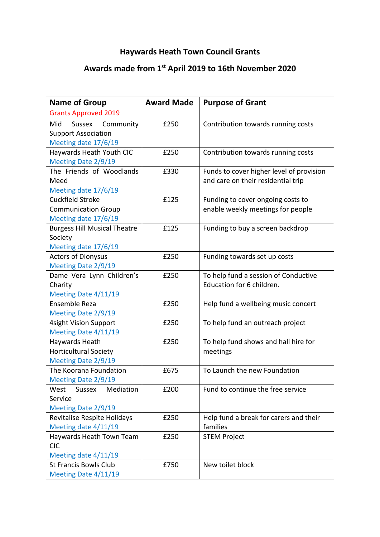## **Haywards Heath Town Council Grants**

## **Awards made from 1st April 2019 to 16th November 2020**

| <b>Name of Group</b>                              | <b>Award Made</b> | <b>Purpose of Grant</b>                  |
|---------------------------------------------------|-------------------|------------------------------------------|
| <b>Grants Approved 2019</b>                       |                   |                                          |
| Mid<br>Community<br>Sussex                        | £250              | Contribution towards running costs       |
| <b>Support Association</b>                        |                   |                                          |
| Meeting date 17/6/19                              |                   |                                          |
| Haywards Heath Youth CIC                          | £250              | Contribution towards running costs       |
| Meeting Date 2/9/19                               |                   |                                          |
| The Friends of Woodlands                          | £330              | Funds to cover higher level of provision |
| Meed                                              |                   | and care on their residential trip       |
| Meeting date 17/6/19                              |                   |                                          |
| Cuckfield Stroke                                  | £125              | Funding to cover ongoing costs to        |
| <b>Communication Group</b>                        |                   | enable weekly meetings for people        |
| Meeting date 17/6/19                              |                   |                                          |
| <b>Burgess Hill Musical Theatre</b>               | £125              | Funding to buy a screen backdrop         |
| Society                                           |                   |                                          |
| Meeting date 17/6/19<br><b>Actors of Dionysus</b> | £250              | Funding towards set up costs             |
| Meeting Date 2/9/19                               |                   |                                          |
| Dame Vera Lynn Children's                         | £250              | To help fund a session of Conductive     |
| Charity                                           |                   | Education for 6 children.                |
| Meeting Date 4/11/19                              |                   |                                          |
| Ensemble Reza                                     | £250              | Help fund a wellbeing music concert      |
| Meeting Date 2/9/19                               |                   |                                          |
| <b>4sight Vision Support</b>                      | £250              | To help fund an outreach project         |
| Meeting Date 4/11/19                              |                   |                                          |
| Haywards Heath                                    | £250              | To help fund shows and hall hire for     |
| <b>Horticultural Society</b>                      |                   | meetings                                 |
| Meeting Date 2/9/19                               |                   |                                          |
| The Koorana Foundation                            | £675              | To Launch the new Foundation             |
| Meeting Date 2/9/19                               |                   |                                          |
| Mediation<br>West<br>Sussex                       | £200              | Fund to continue the free service        |
| Service                                           |                   |                                          |
| Meeting Date 2/9/19                               |                   |                                          |
| Revitalise Respite Holidays                       | £250              | Help fund a break for carers and their   |
| Meeting date 4/11/19                              |                   | families                                 |
| Haywards Heath Town Team<br><b>CIC</b>            | £250              | <b>STEM Project</b>                      |
| Meeting date 4/11/19                              |                   |                                          |
| <b>St Francis Bowls Club</b>                      | £750              | New toilet block                         |
| Meeting Date 4/11/19                              |                   |                                          |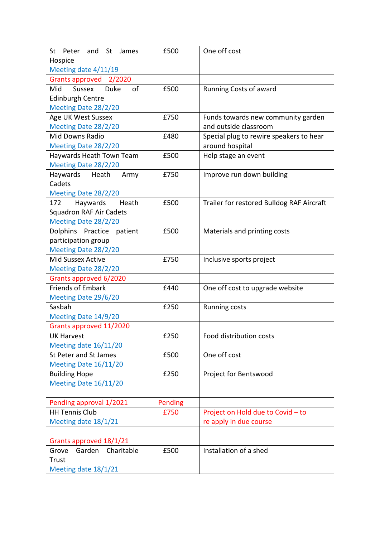| St<br>St<br>James<br>Peter<br>and  | £500    | One off cost                              |
|------------------------------------|---------|-------------------------------------------|
| Hospice                            |         |                                           |
| Meeting date 4/11/19               |         |                                           |
| Grants approved 2/2020             |         |                                           |
| <b>Sussex</b><br>of<br>Mid<br>Duke | £500    | Running Costs of award                    |
| <b>Edinburgh Centre</b>            |         |                                           |
| Meeting Date 28/2/20               |         |                                           |
| Age UK West Sussex                 | £750    | Funds towards new community garden        |
| Meeting Date 28/2/20               |         | and outside classroom                     |
| <b>Mid Downs Radio</b>             | £480    | Special plug to rewire speakers to hear   |
| Meeting Date 28/2/20               |         | around hospital                           |
| Haywards Heath Town Team           | £500    | Help stage an event                       |
| Meeting Date 28/2/20               |         |                                           |
| Haywards<br>Heath<br>Army          | £750    | Improve run down building                 |
| Cadets                             |         |                                           |
| Meeting Date 28/2/20               |         |                                           |
| Heath<br>172<br>Haywards           | £500    | Trailer for restored Bulldog RAF Aircraft |
| <b>Squadron RAF Air Cadets</b>     |         |                                           |
| Meeting Date 28/2/20               |         |                                           |
| Dolphins Practice<br>patient       | £500    | Materials and printing costs              |
| participation group                |         |                                           |
| Meeting Date 28/2/20               |         |                                           |
| <b>Mid Sussex Active</b>           | £750    | Inclusive sports project                  |
| Meeting Date 28/2/20               |         |                                           |
| Grants approved 6/2020             |         |                                           |
| <b>Friends of Embark</b>           | £440    | One off cost to upgrade website           |
| Meeting Date 29/6/20               |         |                                           |
| Sasbah                             | £250    | <b>Running costs</b>                      |
| Meeting Date 14/9/20               |         |                                           |
| Grants approved 11/2020            |         |                                           |
| <b>UK Harvest</b>                  | £250    | Food distribution costs                   |
| Meeting date 16/11/20              |         |                                           |
| <b>St Peter and St James</b>       | £500    | One off cost                              |
| Meeting Date 16/11/20              |         |                                           |
| <b>Building Hope</b>               | £250    | Project for Bentswood                     |
| Meeting Date 16/11/20              |         |                                           |
|                                    |         |                                           |
| Pending approval 1/2021            | Pending |                                           |
| <b>HH Tennis Club</b>              | £750    | Project on Hold due to Covid - to         |
| Meeting date 18/1/21               |         | re apply in due course                    |
|                                    |         |                                           |
| Grants approved 18/1/21            |         |                                           |
| Charitable<br>Garden<br>Grove      | £500    | Installation of a shed                    |
| Trust                              |         |                                           |
| Meeting date 18/1/21               |         |                                           |